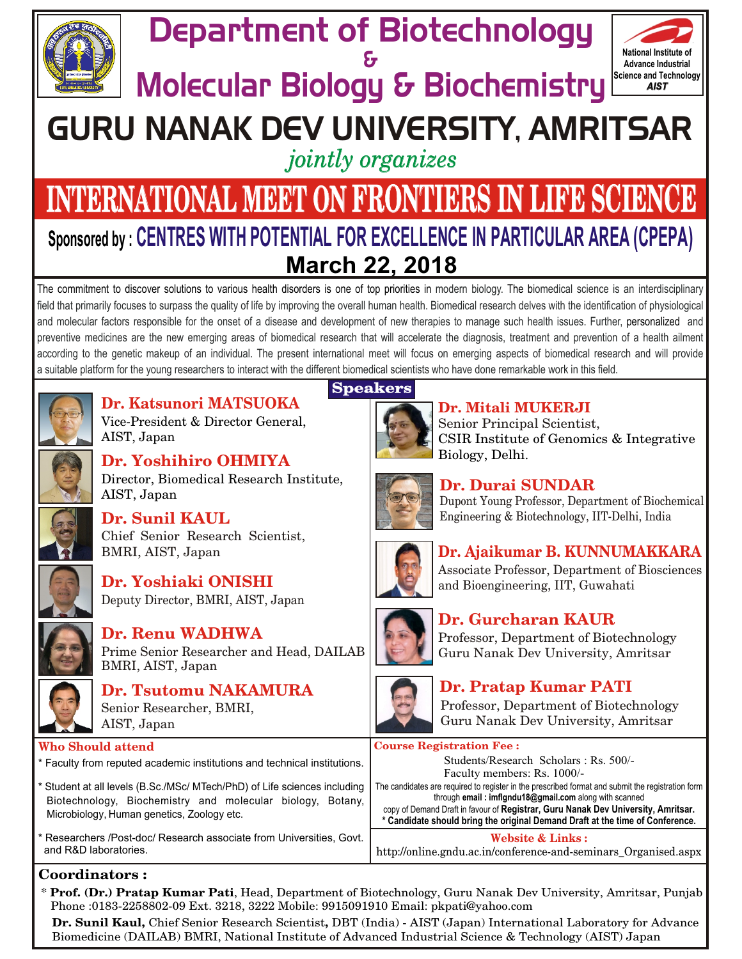

# Department of Biotechnology &



# GURU NANAK DEV UNIVERSITY, AMRITSAR

*jointly organizes* 

# **INTERNATIONAL MEET ON FRONTIERS IN LIFE SCIENCE March 22, 2018** *Sponsored by : CENTRES WITH POTENTIAL FOR EXCELLENCE IN PARTICULAR AREA (CPEPA)*

The commitment to discover solutions to various health disorders is one of top priorities in modern biology. The biomedical science is an interdisciplinary and molecular factors responsible for the onset of a disease and development of new therapies to manage such health issues. Further, personalized and *field that primarily focuses to surpass the quality of life by improving the overall human health. Biomedical research delves with the identification of physiological* preventive medicines are the new emerging areas of biomedical research that will accelerate the diagnosis, treatment and prevention of a health ailment according to the genetic makeup of an individual. The present international meet will focus on emerging aspects of biomedical research and will provide *a suitable platform for the young researchers to interact with the different biomedical scientists who have done remarkable work in this field.*



**Dr. Katsunori MATSUOKA** Vice-President & Director General, AIST, Japan

Chief Senior Research Scientist,



**Dr. Yoshihiro OHMIYA** Director, Biomedical Research Institute, AIST, Japan



**Dr. Sunil KAUL**

BMRI, AIST, Japan



**Dr. Renu WADHWA** Prime Senior Researcher and Head, DAILAB BMRI, AIST, Japan



**Dr. Tsutomu NAKAMURA** Senior Researcher, BMRI, AIST, Japan

#### **Who Should attend**

- *\* Faculty from reputed academic institutions and technical institutions.*
- *\* Student at all levels (B.Sc./MSc/ MTech/PhD) of Life sciences including Biotechnology, Biochemistry and molecular biology, Botany, Microbiology, Human genetics, Zoology etc.*
- *\* Researchers /Post-doc/ Research associate from Universities, Govt. and R&D laboratories.*

### **Coordinators :**

\* **Prof. (Dr.) Pratap Kumar Pati**, Head, Department of Biotechnology, Guru Nanak Dev University, Amritsar, Punjab Phone :0183-2258802-09 Ext. 3218, 3222 Mobile: 9915091910 Email: pkpati@yahoo.com

**Dr. Sunil Kaul,** Chief Senior Research Scientist**,** DBT (India) - AIST (Japan) International Laboratory for Advance Biomedicine (DAILAB) BMRI, National Institute of Advanced Industrial Science & Technology (AIST) Japan

# **Speakers**



**Dr. Mitali MUKERJI** Senior Principal Scientist, CSIR Institute of Genomics & Integrative Biology, Delhi.



## **Dr. Durai SUNDAR**

Dupont Young Professor, Department of Biochemical Engineering & Biotechnology, IIT-Delhi, India



**Dr. Ajaikumar B. KUNNUMAKKARA** Associate Professor, Department of Biosciences and Bioengineering, IIT, Guwahati



# **Dr. Gurcharan KAUR**

Professor, Department of Biotechnology Guru Nanak Dev University, Amritsar



# **Dr. Pratap Kumar PATI**

Professor, Department of Biotechnology Guru Nanak Dev University, Amritsar

**Course Registration Fee :**

Students/Research Scholars : Rs. 500/- Faculty members: Rs. 1000/-

*The candidates are required to register in the prescribed format and submit the registration form through email : imflgndu18@gmail.com along with scanned*

*copy of Demand Draft in favour of Registrar, Guru Nanak Dev University, Amritsar. \* Candidate should bring the original Demand Draft at the time of Conference.*

#### **Website & Links :**

http://online.gndu.ac.in/conference-and-seminars\_Organised.aspx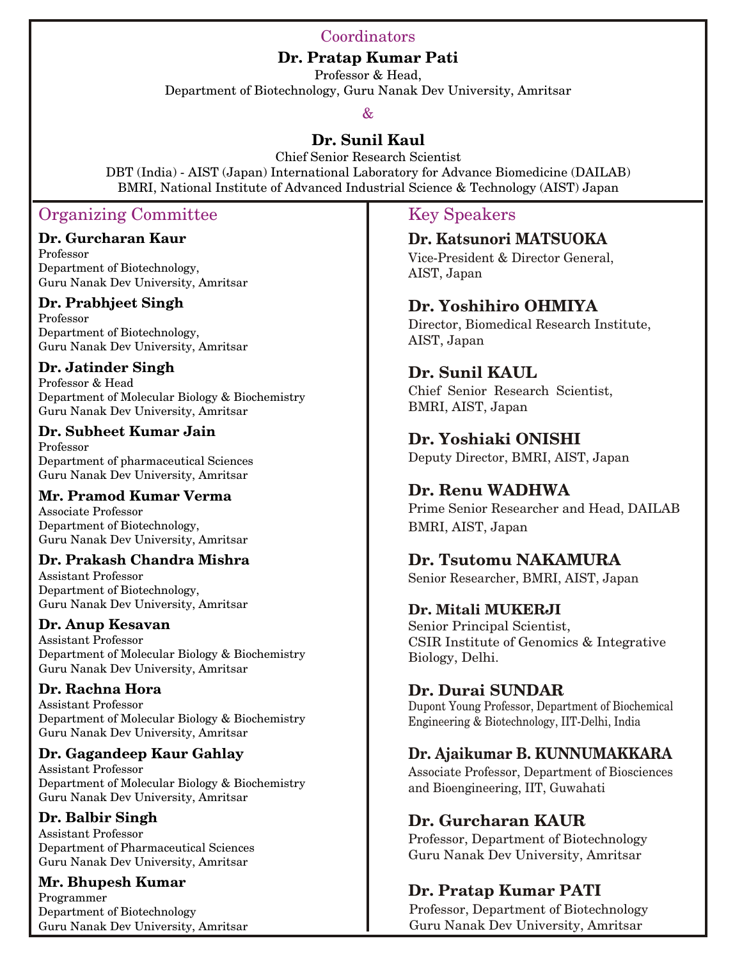#### Coordinators

**Dr. Pratap Kumar Pati**

Professor & Head, Department of Biotechnology, Guru Nanak Dev University, Amritsar

#### &

#### **Dr. Sunil Kaul**

Chief Senior Research Scientist DBT (India) - AIST (Japan) International Laboratory for Advance Biomedicine (DAILAB) BMRI, National Institute of Advanced Industrial Science & Technology (AIST) Japan

#### Organizing Committee

#### **Dr. Gurcharan Kaur**

Professor Department of Biotechnology, Guru Nanak Dev University, Amritsar

#### **Dr. Prabhjeet Singh**

Professor Department of Biotechnology, Guru Nanak Dev University, Amritsar

#### **Dr. Jatinder Singh**

Professor & Head Department of Molecular Biology & Biochemistry Guru Nanak Dev University, Amritsar

#### **Dr. Subheet Kumar Jain**

Professor Department of pharmaceutical Sciences Guru Nanak Dev University, Amritsar

#### **Mr. Pramod Kumar Verma**

Associate Professor Department of Biotechnology, Guru Nanak Dev University, Amritsar

#### **Dr. Prakash Chandra Mishra**

Assistant Professor Department of Biotechnology, Guru Nanak Dev University, Amritsar

#### **Dr. Anup Kesavan**

Assistant Professor Department of Molecular Biology & Biochemistry Guru Nanak Dev University, Amritsar

#### **Dr. Rachna Hora**

Assistant Professor Department of Molecular Biology & Biochemistry Guru Nanak Dev University, Amritsar

#### **Dr. Gagandeep Kaur Gahlay**

Assistant Professor Department of Molecular Biology & Biochemistry Guru Nanak Dev University, Amritsar

#### **Dr. Balbir Singh**

Assistant Professor Department of Pharmaceutical Sciences Guru Nanak Dev University, Amritsar

#### **Mr. Bhupesh Kumar**

Programmer Department of Biotechnology Guru Nanak Dev University, Amritsar

#### Key Speakers

**Dr. Katsunori MATSUOKA** Vice-President & Director General, AIST, Japan

#### **Dr. Yoshihiro OHMIYA**

Director, Biomedical Research Institute, AIST, Japan

#### **Dr. Sunil KAUL**

Chief Senior Research Scientist, BMRI, AIST, Japan

#### **Dr. Yoshiaki ONISHI**

Deputy Director, BMRI, AIST, Japan

#### **Dr. Renu WADHWA**

Prime Senior Researcher and Head, DAILAB BMRI, AIST, Japan

#### **Dr. Tsutomu NAKAMURA**

Senior Researcher, BMRI, AIST, Japan

#### **Dr. Mitali MUKERJI**

Senior Principal Scientist, CSIR Institute of Genomics & Integrative Biology, Delhi.

#### **Dr. Durai SUNDAR**

Dupont Young Professor, Department of Biochemical Engineering & Biotechnology, IIT-Delhi, India

#### **Dr. Ajaikumar B. KUNNUMAKKARA**

Associate Professor, Department of Biosciences and Bioengineering, IIT, Guwahati

#### **Dr. Gurcharan KAUR**

Professor, Department of Biotechnology Guru Nanak Dev University, Amritsar

### **Dr. Pratap Kumar PATI**

Professor, Department of Biotechnology Guru Nanak Dev University, Amritsar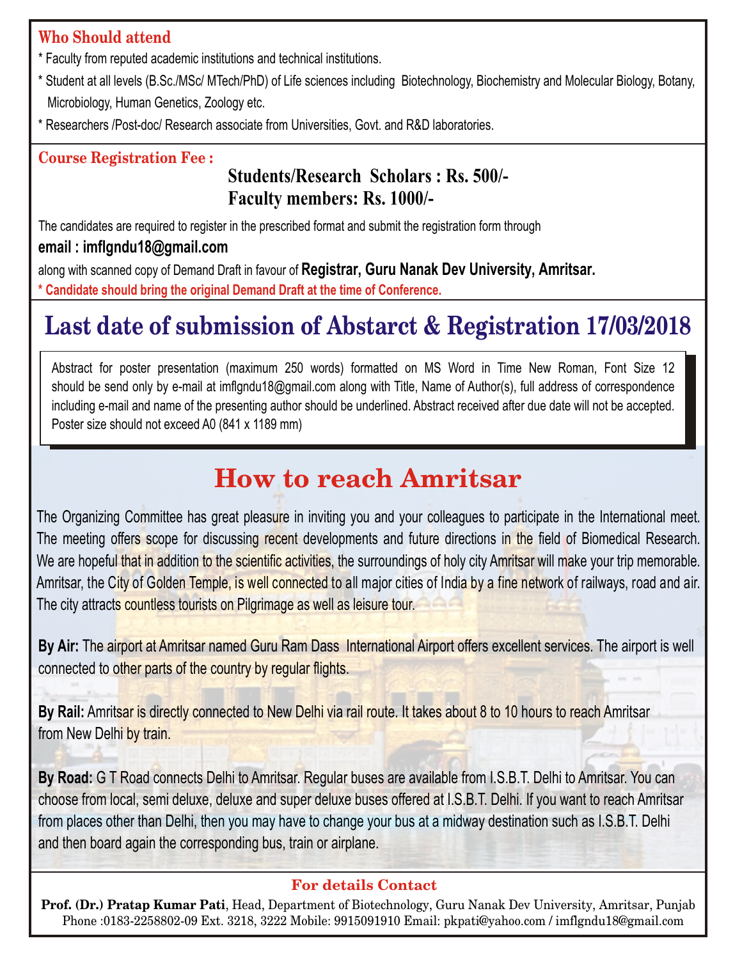## **Who Should attend**

- *\* Faculty from reputed academic institutions and technical institutions.*
- \* Student at all levels (B.Sc./MSc/ MTech/PhD) of Life sciences including Biotechnology, Biochemistry and Molecular Biology, Botany, *Microbiology, Human Genetics, Zoology etc.*
- *\* Researchers /Post-doc/ Research associate from Universities, Govt. and R&D laboratories.*

### **Course Registration Fee :**

# **Students/Research Scholars : Rs. 500/- Faculty members: Rs. 1000/-**

*The candidates are required to register in the prescribed format and submit the registration form through*

### *email : imflgndu18@gmail.com*

*along with scanned copy of Demand Draft in favour of Registrar, Guru Nanak Dev University, Amritsar. \* Candidate should bring the original Demand Draft at the time of Conference.*

# **Last date of submission of Abstarct & Registration 17/03/2018**

Abstract for poster presentation (maximum 250 words) formatted on MS Word in Time New Roman, Font Size 12 should be send only by e-mail at imflgndu18@gmail.com along with Title, Name of Author(s), full address of correspondence including e-mail and name of the presenting author should be underlined. Abstract received after due date will not be accepted. *Poster size should not exceed A0 (841 x 1189 mm)*

# **How to reach Amritsar**

The Organizing Committee has great pleasure in inviting you and your colleagues to participate in the International meet. The meeting offers scope for discussing recent developments and future directions in the field of Biomedical Research. We are hopeful that in addition to the scientific activities, the surroundings of holy city Amritsar will make your trip memorable. *Amritsar, the City of Golden Temple, is well connected to all major cities of India by a fine network of railways, road and air. The city attracts countless tourists on Pilgrimage as well as leisure tour.*

By Air: The airport at Amritsar named Guru Ram Dass International Airport offers excellent services. The airport is well *connected to other parts of the country by regular flights.*

By Rail: Amritsar is directly connected to New Delhi via rail route. It takes about 8 to 10 hours to reach Amritsar *from New Delhi by train.*

By Road: G T Road connects Delhi to Amritsar. Regular buses are available from I.S.B.T. Delhi to Amritsar. You can choose from local, semi deluxe, deluxe and super deluxe buses offered at I.S.B.T. Delhi. If you want to reach Amritsar from places other than Delhi, then you may have to change your bus at a midway destination such as I.S.B.T. Delhi *and then board again the corresponding bus, train or airplane.*

#### **For details Contact**

**Prof. (Dr.) Pratap Kumar Pati**, Head, Department of Biotechnology, Guru Nanak Dev University, Amritsar, Punjab Phone :0183-2258802-09 Ext. 3218, 3222 Mobile: 9915091910 Email: pkpati@yahoo.com / imflgndu18@gmail.com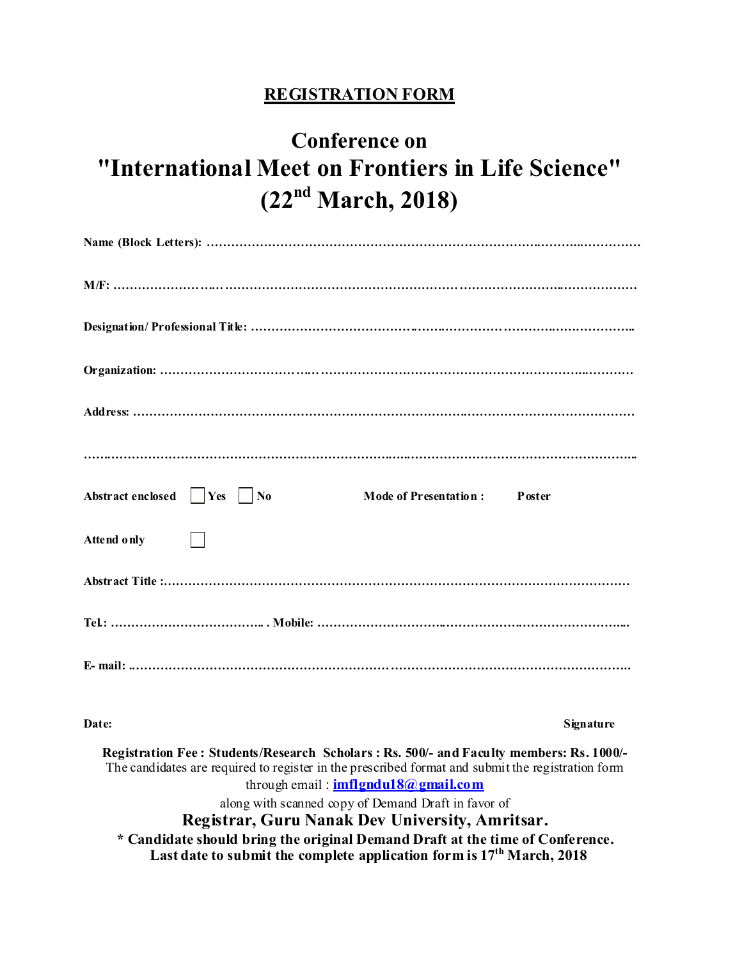### **REGISTRATION FORM**

# **Conference on "International Meet on Frontiers in Life Science" (22nd March, 2018)**

| Abstract enclosed     Yes     No<br><b>Mode of Presentation:</b><br>Poster                                                                               |
|----------------------------------------------------------------------------------------------------------------------------------------------------------|
| <b>Attend only</b>                                                                                                                                       |
|                                                                                                                                                          |
|                                                                                                                                                          |
|                                                                                                                                                          |
| Date:<br>Signature                                                                                                                                       |
| Registration Fee: Students/Research Scholars: Rs. 500/- and Faculty members: Rs. 1000/-                                                                  |
| The candidates are required to register in the prescribed format and submit the registration form                                                        |
| through email: imflgndul8@gmail.com                                                                                                                      |
| along with scanned copy of Demand Draft in favor of                                                                                                      |
| Registrar, Guru Nanak Dev University, Amritsar.                                                                                                          |
| * Candidate should bring the original Demand Draft at the time of Conference.<br>Last date to submit the complete application form is $17th$ March, 2018 |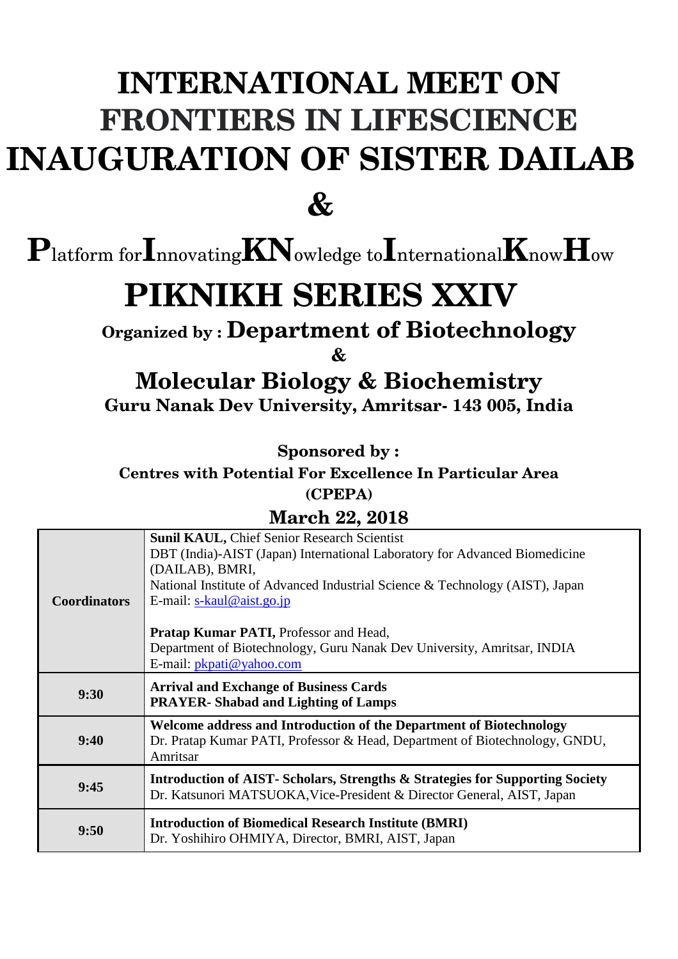# **INTERNATIONAL MEET ON FRONTIERS IN LIFESCIENCE INAUGURATION OF SISTER DAILAB**

**&**

**P**latform for**I**nnovating**KN**owledge to**I**nternational**K**now**H**ow

# **PIKNIKH SERIES XXIV**

**Organized by : Department of Biotechnology**

**&**

**Molecular Biology & Biochemistry Guru Nanak Dev University, Amritsar- 143 005, India**

**Sponsored by :**

**Centres with Potential For Excellence In Particular Area** 

**(CPEPA)**

### **March 22, 2018**

|                     | <b>Sunil KAUL, Chief Senior Research Scientist</b>                                                                                                     |
|---------------------|--------------------------------------------------------------------------------------------------------------------------------------------------------|
|                     | DBT (India)-AIST (Japan) International Laboratory for Advanced Biomedicine                                                                             |
|                     | (DAILAB), BMRI,                                                                                                                                        |
|                     | National Institute of Advanced Industrial Science & Technology (AIST), Japan                                                                           |
| <b>Coordinators</b> | E-mail: $s$ -kaul@aist.go.jp                                                                                                                           |
|                     |                                                                                                                                                        |
|                     | <b>Pratap Kumar PATI, Professor and Head,</b>                                                                                                          |
|                     | Department of Biotechnology, Guru Nanak Dev University, Amritsar, INDIA                                                                                |
|                     | E-mail: <i>pkpati@yahoo.com</i>                                                                                                                        |
| 9:30                | <b>Arrival and Exchange of Business Cards</b>                                                                                                          |
|                     | <b>PRAYER-Shabad and Lighting of Lamps</b>                                                                                                             |
|                     |                                                                                                                                                        |
|                     | Welcome address and Introduction of the Department of Biotechnology                                                                                    |
| 9:40                | Dr. Pratap Kumar PATI, Professor & Head, Department of Biotechnology, GNDU,                                                                            |
|                     | Amritsar                                                                                                                                               |
|                     |                                                                                                                                                        |
| 9:45                | Introduction of AIST-Scholars, Strengths & Strategies for Supporting Society<br>Dr. Katsunori MATSUOKA, Vice-President & Director General, AIST, Japan |
|                     |                                                                                                                                                        |
| 9:50                | <b>Introduction of Biomedical Research Institute (BMRI)</b><br>Dr. Yoshihiro OHMIYA, Director, BMRI, AIST, Japan                                       |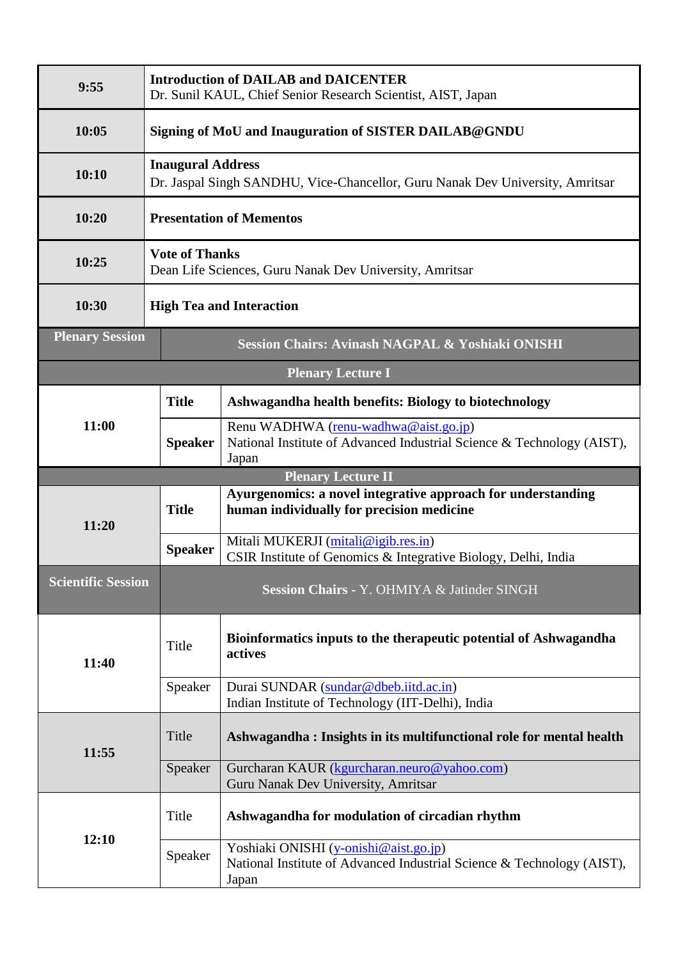| 9:55                                                                       | <b>Introduction of DAILAB and DAICENTER</b><br>Dr. Sunil KAUL, Chief Senior Research Scientist, AIST, Japan |                                                                                                                         |  |  |
|----------------------------------------------------------------------------|-------------------------------------------------------------------------------------------------------------|-------------------------------------------------------------------------------------------------------------------------|--|--|
| 10:05                                                                      | Signing of MoU and Inauguration of SISTER DAILAB@GNDU                                                       |                                                                                                                         |  |  |
| 10:10                                                                      | <b>Inaugural Address</b><br>Dr. Jaspal Singh SANDHU, Vice-Chancellor, Guru Nanak Dev University, Amritsar   |                                                                                                                         |  |  |
| 10:20                                                                      | <b>Presentation of Mementos</b>                                                                             |                                                                                                                         |  |  |
| 10:25                                                                      | <b>Vote of Thanks</b><br>Dean Life Sciences, Guru Nanak Dev University, Amritsar                            |                                                                                                                         |  |  |
| 10:30                                                                      | <b>High Tea and Interaction</b>                                                                             |                                                                                                                         |  |  |
| <b>Plenary Session</b><br>Session Chairs: Avinash NAGPAL & Yoshiaki ONISHI |                                                                                                             |                                                                                                                         |  |  |
|                                                                            |                                                                                                             | <b>Plenary Lecture I</b>                                                                                                |  |  |
| 11:00                                                                      | <b>Title</b>                                                                                                | Ashwagandha health benefits: Biology to biotechnology                                                                   |  |  |
|                                                                            | <b>Speaker</b>                                                                                              | Renu WADHWA (renu-wadhwa@aist.go.jp)<br>National Institute of Advanced Industrial Science & Technology (AIST),<br>Japan |  |  |
|                                                                            |                                                                                                             | <b>Plenary Lecture II</b>                                                                                               |  |  |
| 11:20                                                                      | <b>Title</b>                                                                                                | Ayurgenomics: a novel integrative approach for understanding<br>human individually for precision medicine               |  |  |
|                                                                            | <b>Speaker</b>                                                                                              | Mitali MUKERJI (mitali@igib.res.in)<br>CSIR Institute of Genomics & Integrative Biology, Delhi, India                   |  |  |
| <b>Scientific Session</b>                                                  |                                                                                                             | Session Chairs - Y. OHMIYA & Jatinder SINGH                                                                             |  |  |
| 11:40                                                                      | Title                                                                                                       | Bioinformatics inputs to the therapeutic potential of Ashwagandha<br>actives                                            |  |  |
|                                                                            | Speaker                                                                                                     | Durai SUNDAR (sundar@dbeb.iitd.ac.in)<br>Indian Institute of Technology (IIT-Delhi), India                              |  |  |
| 11:55                                                                      | Title                                                                                                       | Ashwagandha: Insights in its multifunctional role for mental health                                                     |  |  |
|                                                                            | Speaker                                                                                                     | Gurcharan KAUR (kgurcharan.neuro@yahoo.com)<br>Guru Nanak Dev University, Amritsar                                      |  |  |
| 12:10                                                                      | Title                                                                                                       | Ashwagandha for modulation of circadian rhythm                                                                          |  |  |
|                                                                            |                                                                                                             |                                                                                                                         |  |  |